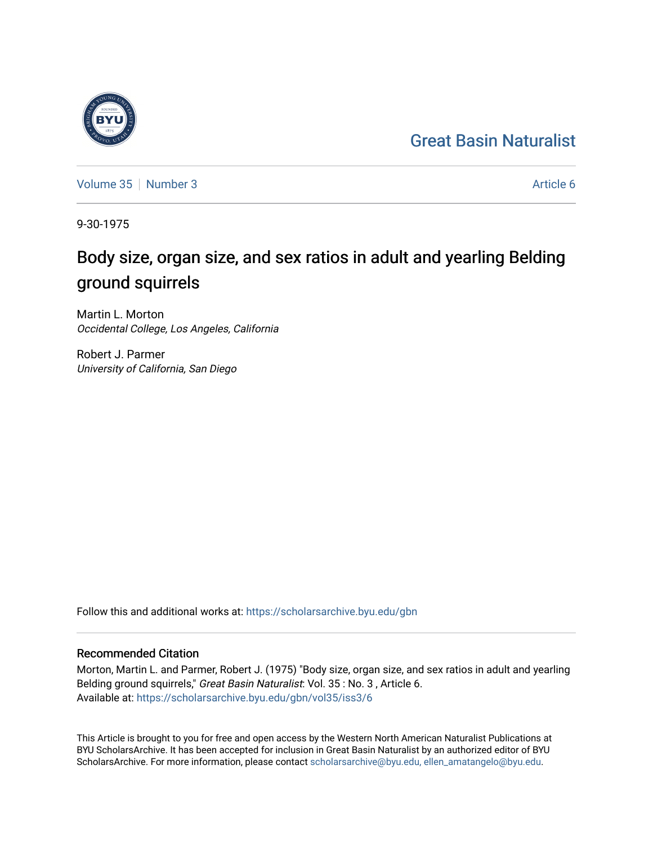## [Great Basin Naturalist](https://scholarsarchive.byu.edu/gbn)



[Volume 35](https://scholarsarchive.byu.edu/gbn/vol35) [Number 3](https://scholarsarchive.byu.edu/gbn/vol35/iss3) Article 6

9-30-1975

# Body size, organ size, and sex ratios in adult and yearling Belding ground squirrels

Martin L. Morton Occidental College, Los Angeles, California

Robert J. Parmer University of California, San Diego

Follow this and additional works at: [https://scholarsarchive.byu.edu/gbn](https://scholarsarchive.byu.edu/gbn?utm_source=scholarsarchive.byu.edu%2Fgbn%2Fvol35%2Fiss3%2F6&utm_medium=PDF&utm_campaign=PDFCoverPages) 

### Recommended Citation

Morton, Martin L. and Parmer, Robert J. (1975) "Body size, organ size, and sex ratios in adult and yearling Belding ground squirrels," Great Basin Naturalist: Vol. 35 : No. 3, Article 6. Available at: [https://scholarsarchive.byu.edu/gbn/vol35/iss3/6](https://scholarsarchive.byu.edu/gbn/vol35/iss3/6?utm_source=scholarsarchive.byu.edu%2Fgbn%2Fvol35%2Fiss3%2F6&utm_medium=PDF&utm_campaign=PDFCoverPages)

This Article is brought to you for free and open access by the Western North American Naturalist Publications at BYU ScholarsArchive. It has been accepted for inclusion in Great Basin Naturalist by an authorized editor of BYU ScholarsArchive. For more information, please contact [scholarsarchive@byu.edu, ellen\\_amatangelo@byu.edu.](mailto:scholarsarchive@byu.edu,%20ellen_amatangelo@byu.edu)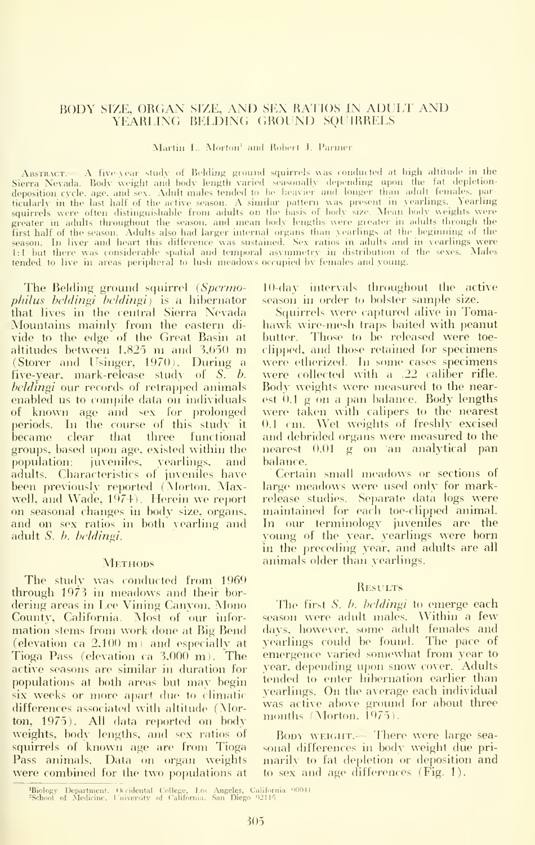#### BODY SIZE, ORGAN SIZE, AND SEX RATIOS IN ADULT AND YEARLING BELDING GROUND SOURRELS

Martin L. Morton<sup>1</sup> and Robert J. Parmer

ABSTRACT. A five-year study of Belding ground squirrels was conducted at high altitude in the Sierra Nevada. Body weight and body length varied seasonally depending upon the fat depletion-<br>deposition cycle, age, and sex. Adult males tended to be heavier and longer than adult females, particularly in the last half of the active season. A similar pattern was present in yearlings. Yearling squirrels were often distinguishable from adults on the basis of body size. Mean body weights were greater in adults throughout the season, and mean body lengths were greater in adults through the first half of the season. Adults also had larger internal organs than yearlings at the beginning of the season. In liver and heart this difference was sustained. Sex ratios in adults and in yearlings were<br>1:1 but there was considerable spatial and temporal asymmetry in distribution of the sexes. Males tended to live in areas peripheral to lush meadows occupied by females and young.

The Belding ground squirrel (Spermo*philus beldingi beldingi*) is a hibernator that lives in the central Sierra Nevada Mountains mainly from the eastern divide to the edge of the Great Basin at altitudes between 1,825 m and 3,650 m (Storer and Usinger, 1970). During a five-year, mark-release study of S. b. *beldingi* our records of retrapped animals enabled us to compile data on individuals of known age and sex for prolonged periods. In the course of this study it became clear that three functional groups, based upon age, existed within the population: juveniles, yearlings, and adults. Characteristics of juveniles have been previously reported (Morton, Maxwell, and Wade, 1974). Herein we report on seasonal changes in body size, organs, and on sex ratios in both yearling and adult S. b. beldingi.

#### **METHODS**

The study was conducted from 1969 through 1973 in meadows and their bordering areas in Lee Vining Canvon, Mono County, California. Most of our information stems from work done at Big Bend (elevation ca  $2,100$  m) and especially at Tioga Pass (elevation ca  $3,000$  m). The active seasons are similar in duration for populations at both areas but may begin six weeks or more apart due to climatic differences associated with altitude (Morton, 1975). All data reported on body weights, body lengths, and sex ratios of squirrels of known age are from Tioga Pass animals. Data on organ weights were combined for the two populations at

10-day intervals throughout the active season in order to bolster sample size.

Squirrels were captured alive in Tomahawk wire-mesh traps baited with peanut butter. Those to be released were toeclipped, and those retained for specimens were etherized. In some cases specimens were collected with a .22 caliber rifle. Body weights were measured to the nearest  $0.1$  g on a pan balance. Body lengths were taken with calipers to the nearest 0.1 cm. Wet weights of freshly excised and debrided organs were measured to the nearest 0.01 g on an analytical pan balance.

Certain small meadows or sections of large meadows were used only for markrelease studies. Separate data logs were maintained for each toe-clipped animal. In our terminology juveniles are the young of the year, yearlings were born in the preceding year, and adults are all animals older than yearlings.

#### **RESULTS**

The first S, b, belding to emerge each season were adult males. Within a few days, however, some adult females and yearlings could be found. The pace of emergence varied somewhat from year to year, depending upon snow cover. Adults tended to enter hibernation earlier than yearlings. On the average each individual was active above ground for about three<br>months (Morton, 1975).

BODY WEIGHT.- There were large seasonal differences in body weight due primarily to fat depletion or deposition and to sex and age differences (Fig. 1).

<sup>&</sup>lt;sup>1</sup>Biology Department. Occidental College, Los Angeles, California <sup>00041</sup><br><sup>2</sup>School of Medicine, University of California, San Diego <sup>02115</sup>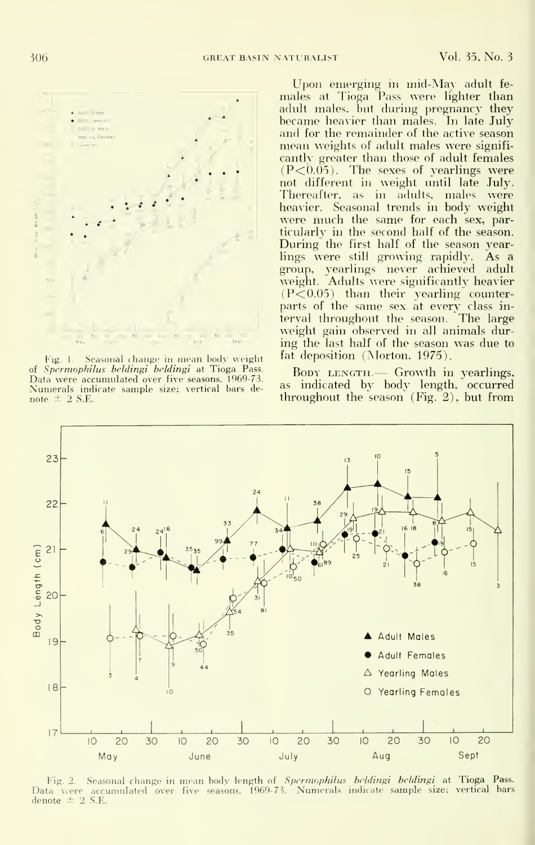

Fig. 1. Seasonal change in mean body weight of Spermophilus beldingi beldingi at Tioga Pass. Data were accumulated over five seasons. 1969-73. Numerals indicate sample size; vertical bars de note  $\pm$  2 S.E.

Upon emerging in mid-May adult fe males at Tioga Pass were lighter than adult males, but during pregnancy they became heavier than males. In late July and for the remainder of the active season mean weights of adult males were signifi cantly greater than those of adult females  $(P<0.05)$ . The sexes of yearlings were not different in weight until late July. Thereafter, as in adults, males were heavier. Seasonal trends in body weight were much the same for each sex, particularly in the second half of the season. During the first half of the season yearlings were still growing rapidly. As a group, yearlings never achieved adult –<br>weight. Adults-were-significantly-heavier  $(P<0.05)$  than their yearling counterparts of the same sex at every class in terval throughout the season. The large weight gain observed in all animals dur ing the last half of the season was due to fat deposition (Morton, 1975).

BODY LENGTH.— Growth in yearlings, as indicated by body length, occurred throughout the season (Fig. 2), but from



Fig. 2. Seasonal change in mean body length of Spermophilus beldingi beldingi at Tioga Pass. Data vere accumulated over five seasons. 1969-73. Numerals indicate sample size: vertical bars denote  $\pm$  2 S.E.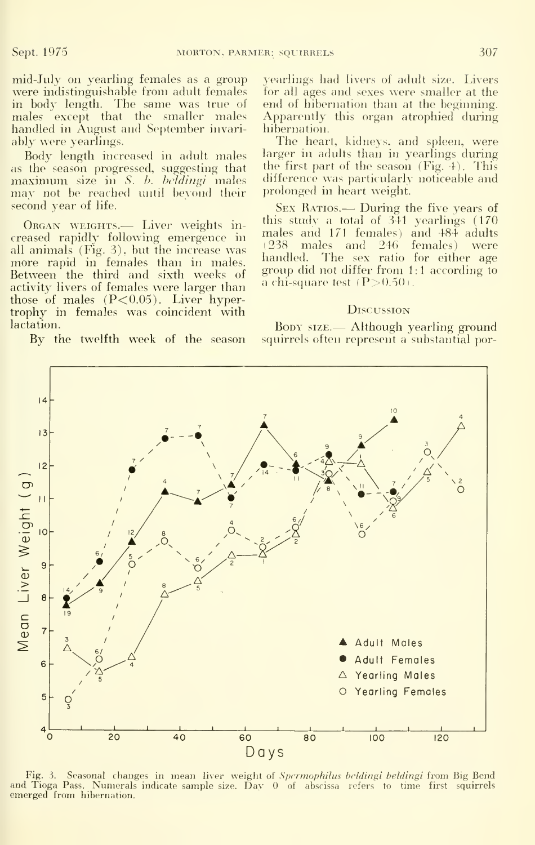mid-July on yearling females as a group were indistinguishable from adult females in body length. The same was true of males except that the smaller males handled in August and September invari ably were yearlings.

Body length increased in adult males<br>as the season progressed, suggesting that maximum size in  $S.$  b. beldingi males may not be reached until beyond their second year of life.

Organ weights.— Liver weights in creased rapidly following emergence in all animals (Fig. 3), but the increase was  $\frac{1258}{1200}$  manipulated. more rapid in females than in males. Between the third and sixth weeks of activity livers of females were larger than those of males  $(P<0.05)$ . Liver hypertrophy in females was coincident with lactation.

By the twelfth week of the season

yearlings had livers of adult size. Livers for all ages and sexes were smaller at the end of hibernation than at the beginning. Apparently this organ atrophied during hibernation.

The heart, kidneys, and spleen, were larger in adults than in yearlings during the first part of the season (Fig. 4). This difference was particularly noticeable and ])rolonged in heart weight.

SEX RATIOS. - During the five years of this study a total of 341 yearhngs (170 males and 171 females) and 484 adults (238 males and 246 females) were The sex ratio for either age group did not differ from <sup>1</sup> : <sup>1</sup> according to a chi-square test (P ${>}0.50$ ).

#### **D**iscussion

Boby size. — Although yearling ground squirrels often represent a substantial por-



Fig. 3. Seasonal changes in mean liver weight of Spermophilus beldingi beldingi from Big Bend and Tioga Pass. Numerals indicate sample size. Day 0 of abscissa refers to time first squirrels<br>emerged from hibernation.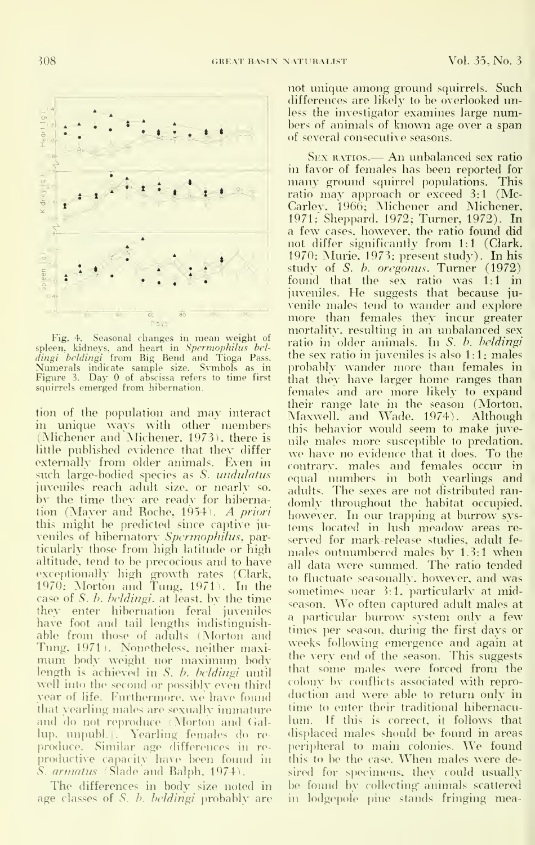

Fig. 4. Seasonal changes in mean weight of<br>spleen, kidneys, and heart in Spermophilus bel-<br>dingi beldingi from Big Bend and Tioga Pass.<br>Numerals indicate sample size. Symbols as in p<br>Figure 3. Day 0 of abscissa refers to t squirrels emerged from hibernation.

tion of the population and may interact in unique ways with other niembers (Michener and Michener. 1973), there is little published evidence that they differ externally from older animals. Even in such large-bodied species as S. undulatus juveniles reach adult size, or nearly so. by the time they are ready for hibernation (Mayer and Roche, 1954). A priori this might be predicted since captive  $\mu$ veniles of hibernatory Spermophilus, particularly those from high latitude or high altitude, tend to be precocious and to have exceptionally high growth rates (Clark, <sub>to</sub><br>1970; Morton and Tung, 1971). In the <sub>con</sub> case of  $S.$  b. *beldingi*. at least, by the time they enter hibernation feral juveniles have foot and tail lengths indistinguish able from those of adults (Morton and Tung, 1971). Nonetheless, neither maxi mum body weight nor maximum body length is achieved in S. b. beldingi until well into the second or possibly even third vear of life. Furthermore, we have found that yearling males are sexually immature and do not reproduce (Morton and Gallup. unpubl.). Yearling females do reproduce. Similar age differences in reproductive capacity have been found in S. armatus (Slade and Balph, 1974).

The differences in body size noted in age classes of S. b. beldingi probably are not unique among ground squirrels. Such differences are likely to be overlooked unless the investigator examines large numbers of animals of known age over a span of several consecutive seasons.

Sex ratios.— An unbalanced sex ratio in favor of females has been reported for many ground squirrel populations. This ratio may approach or exceed 3:1 (Mc-Carlev. 1966; Michener and Michener, 1971; Sheppard, 1972; Turner, 1972). In<br>a few cases, however, the ratio found did not differ significantly from 1:1 (Clark. 1970; Murie, 1973; present study). In his study of S. b. oregonus. Turner (1972) foimd that the sex ratio was 1:1 in juveniles. He suggests that because ju venile males tend to wander and explore more than females they incur greater mortality, resulting in an unbalanced sex ratio in older animals. In S. b. beldingi the sex ratio in juveniles is also 1:1; males probably wander more than females in that they have larger home ranges than females and are more likely to expand their range late in the season (Morton. Maxwell, and Wade, 1974). Although this behavior would seem to make juvenile males more susceptible to predation. we have no evidence that it does. To the ( ontrarv. males and females occur in equal numbers in both yearlings and adidts. The sexes are not distributed ran domly throughout the habitat occupied, however. In our trapping at burrow systems located in lush meadow areas re served for mark-release studies, adult fe males outnumbered males by 1.3:1 when all data were summed. The ratio tended to fluctuate seasonally, however, and was sometimes near 3:1, particularly at midseason. We often captured adult males at a particular burrow system only a few times per season, during the first days or weeks following emergence and again at the very end of the season. This suggests that some males were forced from the colony by conflicts associated with reproduction and were able to return only in time to enter their traditional hibernaculiun. If this is correct, it follows that displaced males should be found in areas peripheral to main colonies. We found this to be the case. When males were desired for specimens, they could usually be found by collecting animals scattered in lodgepole pine stands fringing mea-